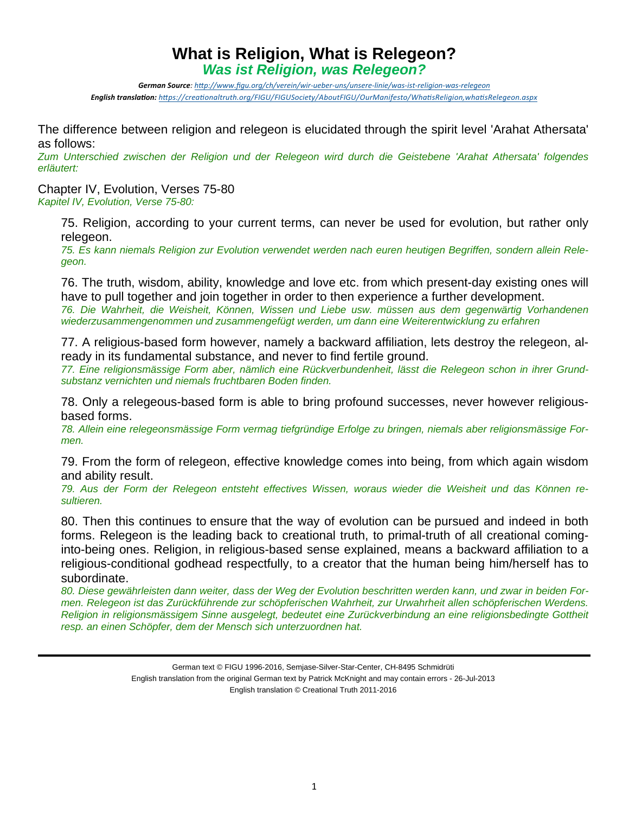## **What is Religion, What is Relegeon?**  *Was ist Religion, was Relegeon?*

German Source: http://www.figu.org/ch/verein/wir-ueber-uns/unsere-linie/was-ist-religion-was-relegeon *English translaƟon: hƩps://creaƟonaltruth.org/FIGU/FIGUSociety/AboutFIGU/OurManifesto/WhaƟsReligion,whaƟsRelegeon.aspx*

The difference between religion and relegeon is elucidated through the spirit level 'Arahat Athersata' as follows:

*Zum Unterschied zwischen der Religion und der Relegeon wird durch die Geistebene 'Arahat Athersata' folgendes erläutert:* 

Chapter IV, Evolution, Verses 75-80 *Kapitel IV, Evolution, Verse 75-80:* 

> 75. Religion, according to your current terms, can never be used for evolution, but rather only relegeon.

> *75. Es kann niemals Religion zur Evolution verwendet werden nach euren heutigen Begriffen, sondern allein Relegeon.*

> 76. The truth, wisdom, ability, knowledge and love etc. from which present-day existing ones will have to pull together and join together in order to then experience a further development. *76. Die Wahrheit, die Weisheit, Können, Wissen und Liebe usw. müssen aus dem gegenwärtig Vorhandenen wiederzusammengenommen und zusammengefügt werden, um dann eine Weiterentwicklung zu erfahren*

> 77. A religious-based form however, namely a backward affiliation, lets destroy the relegeon, already in its fundamental substance, and never to find fertile ground.

> *77. Eine religionsmässige Form aber, nämlich eine Rückverbundenheit, lässt die Relegeon schon in ihrer Grundsubstanz vernichten und niemals fruchtbaren Boden finden.*

> 78. Only a relegeous-based form is able to bring profound successes, never however religiousbased forms.

> *78. Allein eine relegeonsmässige Form vermag tiefgründige Erfolge zu bringen, niemals aber religionsmässige Formen.*

> 79. From the form of relegeon, effective knowledge comes into being, from which again wisdom and ability result.

> *79. Aus der Form der Relegeon entsteht effectives Wissen, woraus wieder die Weisheit und das Können resultieren.*

> 80. Then this continues to ensure that the way of evolution can be pursued and indeed in both forms. Relegeon is the leading back to creational truth, to primal-truth of all creational cominginto-being ones. Religion, in religious-based sense explained, means a backward affiliation to a religious-conditional godhead respectfully, to a creator that the human being him/herself has to subordinate.

> *80. Diese gewährleisten dann weiter, dass der Weg der Evolution beschritten werden kann, und zwar in beiden Formen. Relegeon ist das Zurückführende zur schöpferischen Wahrheit, zur Urwahrheit allen schöpferischen Werdens. Religion in religionsmässigem Sinne ausgelegt, bedeutet eine Zurückverbindung an eine religionsbedingte Gottheit resp. an einen Schöpfer, dem der Mensch sich unterzuordnen hat.*